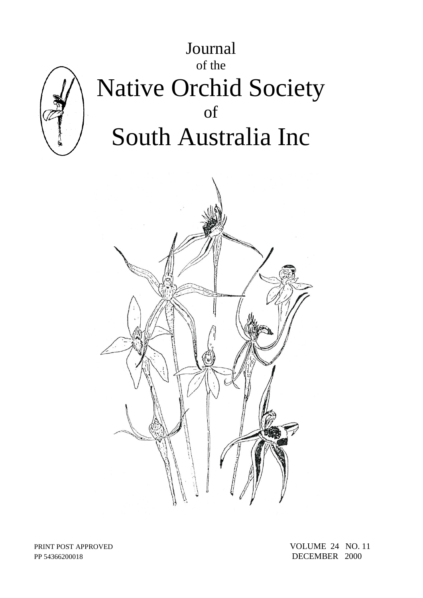

PP 54366200018 DECEMBER 2000

PRINT POST APPROVED VOLUME 24 NO. 11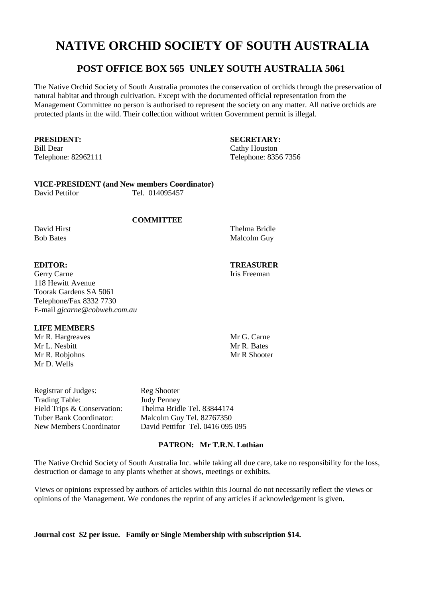# **NATIVE ORCHID SOCIETY OF SOUTH AUSTRALIA**

# **POST OFFICE BOX 565 UNLEY SOUTH AUSTRALIA 5061**

The Native Orchid Society of South Australia promotes the conservation of orchids through the preservation of natural habitat and through cultivation. Except with the documented official representation from the Management Committee no person is authorised to represent the society on any matter. All native orchids are protected plants in the wild. Their collection without written Government permit is illegal.

Bill Dear Cathy Houston

**PRESIDENT: SECRETARY:** Telephone: 82962111 Telephone: 8356 7356

# **VICE-PRESIDENT (and New members Coordinator)**

David Pettifor Tel. 014095457

# **COMMITTEE**

David Hirst Thelma Bridle Bob Bates Malcolm Guy

Gerry Carne Iris Freeman 118 Hewitt Avenue Toorak Gardens SA 5061 Telephone/Fax 8332 7730 E-mail *gjcarne@cobweb.com.au*

# **LIFE MEMBERS**

Mr R. Hargreaves Mr G. Carne<br>Mr J. Neshitt Mr R. Bates Mr L. Nesbitt Mr R. Robiohns Mr R Shooter Mr D. Wells

Registrar of Judges: Reg Shooter Trading Table: Judy Penney

Field Trips & Conservation: Thelma Bridle Tel. 83844174<br>
Tuber Bank Coordinator: Malcolm Guy Tel. 82767350 Malcolm Guy Tel. 82767350 New Members Coordinator David Pettifor Tel. 0416 095 095

# **PATRON: Mr T.R.N. Lothian**

The Native Orchid Society of South Australia Inc. while taking all due care, take no responsibility for the loss, destruction or damage to any plants whether at shows, meetings or exhibits.

Views or opinions expressed by authors of articles within this Journal do not necessarily reflect the views or opinions of the Management. We condones the reprint of any articles if acknowledgement is given.

**Journal cost \$2 per issue. Family or Single Membership with subscription \$14.** 

**EDITOR: TREASURER**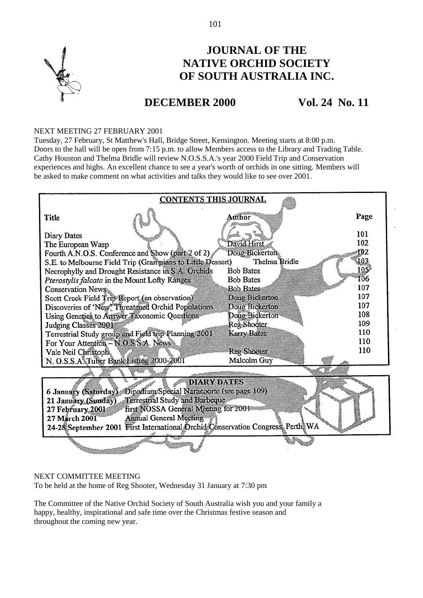

# **JOURNAL OF THE NATIVE ORCHID SOCIETY OF SOUTH AUSTRALIA INC.**

# **DECEMBER 2000 Vol. 24 No. 11**

# NEXT MEETING 27 FEBRUARY 2001

Tuesday, 27 February, St Matthew's Hall, Bridge Street, Kensington. Meeting starts at 8:00 p.m. Doors to the hall will be open from 7:15 p.m. to allow Members access to the Library and Trading Table. Cathy Houston and Thelma Bridle will review N.O.S.S.A.'s year 2000 Field Trip and Conservation experiences and highs. An excellent chance to see a year's worth of orchids in one sitting. Members will be asked to make comment on what activities and talks they would like to see over 2001.

| <b>CONTENTS THIS JOURNAL</b>                                                    |      |  |  |  |  |  |  |  |
|---------------------------------------------------------------------------------|------|--|--|--|--|--|--|--|
| Title                                                                           | Page |  |  |  |  |  |  |  |
| Diary Dates                                                                     | 101  |  |  |  |  |  |  |  |
| David Hirst<br>The European Wasp                                                | 102  |  |  |  |  |  |  |  |
| Doug Bickerton<br>Fourth A.N.O.S. Conference and Show (part 2 of 2)             | łĐ2  |  |  |  |  |  |  |  |
| S.E. to Melbourne Field Trip (Grampians to Little Dessert)<br>Thelma Bridle     | 103  |  |  |  |  |  |  |  |
| <b>Bob Bates</b><br>Necrophylly and Drought Resistance in S.A. Orchids          | 105* |  |  |  |  |  |  |  |
| Pterostylis falcata in the Mount Lofty Ranges<br><b>Bob Bates</b>               | 106  |  |  |  |  |  |  |  |
| Bob Bates<br>Conservation News                                                  | 107  |  |  |  |  |  |  |  |
| Scott Creek Field Trip Report (an observation)<br>Dour Bickerton                | 107  |  |  |  |  |  |  |  |
| Discoveries of 'New' Threatened Orchid Populations<br>Doug Bickerton            | 107  |  |  |  |  |  |  |  |
| Doug Bickerton<br>Using Genetics to Answer Taxonomic Questions                  | 108  |  |  |  |  |  |  |  |
| Reg Shooter<br>Judging Classes 2001                                             | 109  |  |  |  |  |  |  |  |
| Terrestrial Study group and Field trip Planning 2001<br>Kerry Bates             | 110  |  |  |  |  |  |  |  |
| For Your Attention - NOS S.A. News                                              | 110  |  |  |  |  |  |  |  |
| Reg Shooter<br>Vale Neil Christoph.                                             | 110  |  |  |  |  |  |  |  |
| N. O.S.S.A. Tuber Bank Bisting 2000-2001<br>Malcolm Guy                         |      |  |  |  |  |  |  |  |
|                                                                                 |      |  |  |  |  |  |  |  |
| <b>DIARY DATIES</b>                                                             |      |  |  |  |  |  |  |  |
| 6 January (Saturday) Dipodium Special Naraccorte (see page 109)                 |      |  |  |  |  |  |  |  |
| 21 January (Sunday) Terrestinal Study and Barbeque                              |      |  |  |  |  |  |  |  |
| first NOSSA General Meeting for 2001<br>27 February 2001                        |      |  |  |  |  |  |  |  |
| Annual General Meeting<br>27 March 2001                                         |      |  |  |  |  |  |  |  |
| 24-28 September 2001 First International Drchid Conservation Congress Perth, WA |      |  |  |  |  |  |  |  |
|                                                                                 |      |  |  |  |  |  |  |  |

### NEXT COMMITTEE MEETING To be held at the home of Reg Shooter, Wednesday 31 January at 7:30 pm

The Committee of the Native Orchid Society of South Australia wish you and your family a happy, healthy, inspirational and safe time over the Christmas festive season and throughout the coming new year.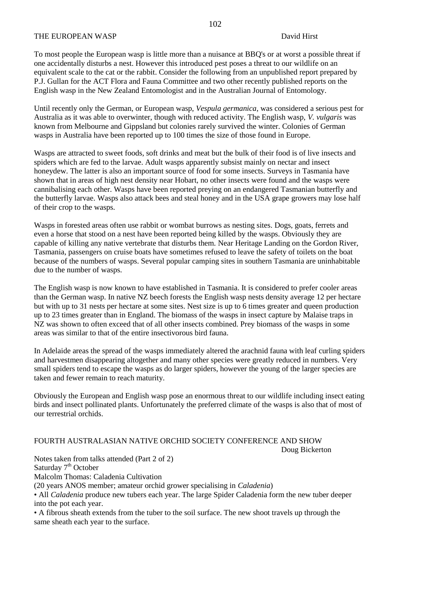### THE EUROPEAN WASP DAVid Hirst David Hirst

To most people the European wasp is little more than a nuisance at BBQ's or at worst a possible threat if one accidentally disturbs a nest. However this introduced pest poses a threat to our wildlife on an equivalent scale to the cat or the rabbit. Consider the following from an unpublished report prepared by P.J. Gullan for the ACT Flora and Fauna Committee and two other recently published reports on the English wasp in the New Zealand Entomologist and in the Australian Journal of Entomology.

Until recently only the German, or European wasp, *Vespula germanica*, was considered a serious pest for Australia as it was able to overwinter, though with reduced activity. The English wasp, *V. vulgaris* was known from Melbourne and Gippsland but colonies rarely survived the winter. Colonies of German wasps in Australia have been reported up to 100 times the size of those found in Europe.

Wasps are attracted to sweet foods, soft drinks and meat but the bulk of their food is of live insects and spiders which are fed to the larvae. Adult wasps apparently subsist mainly on nectar and insect honeydew. The latter is also an important source of food for some insects. Surveys in Tasmania have shown that in areas of high nest density near Hobart, no other insects were found and the wasps were cannibalising each other. Wasps have been reported preying on an endangered Tasmanian butterfly and the butterfly larvae. Wasps also attack bees and steal honey and in the USA grape growers may lose half of their crop to the wasps.

Wasps in forested areas often use rabbit or wombat burrows as nesting sites. Dogs, goats, ferrets and even a horse that stood on a nest have been reported being killed by the wasps. Obviously they are capable of killing any native vertebrate that disturbs them. Near Heritage Landing on the Gordon River, Tasmania, passengers on cruise boats have sometimes refused to leave the safety of toilets on the boat because of the numbers of wasps. Several popular camping sites in southern Tasmania are uninhabitable due to the number of wasps.

The English wasp is now known to have established in Tasmania. It is considered to prefer cooler areas than the German wasp. In native NZ beech forests the English wasp nests density average 12 per hectare but with up to 31 nests per hectare at some sites. Nest size is up to 6 times greater and queen production up to 23 times greater than in England. The biomass of the wasps in insect capture by Malaise traps in NZ was shown to often exceed that of all other insects combined. Prey biomass of the wasps in some areas was similar to that of the entire insectivorous bird fauna.

In Adelaide areas the spread of the wasps immediately altered the arachnid fauna with leaf curling spiders and harvestmen disappearing altogether and many other species were greatly reduced in numbers. Very small spiders tend to escape the wasps as do larger spiders, however the young of the larger species are taken and fewer remain to reach maturity.

Obviously the European and English wasp pose an enormous threat to our wildlife including insect eating birds and insect pollinated plants. Unfortunately the preferred climate of the wasps is also that of most of our terrestrial orchids.

# FOURTH AUSTRALASIAN NATIVE ORCHID SOCIETY CONFERENCE AND SHOW

Doug Bickerton

Notes taken from talks attended (Part 2 of 2)

Saturday 7<sup>th</sup> October

Malcolm Thomas: Caladenia Cultivation

(20 years ANOS member; amateur orchid grower specialising in *Caladenia*)

• All *Caladenia* produce new tubers each year. The large Spider Caladenia form the new tuber deeper into the pot each year.

• A fibrous sheath extends from the tuber to the soil surface. The new shoot travels up through the same sheath each year to the surface.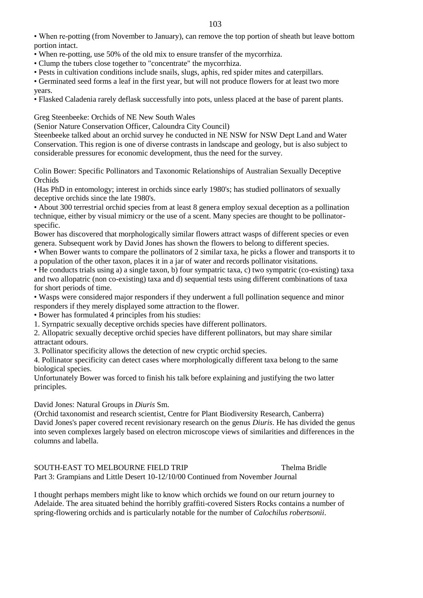• When re-potting (from November to January), can remove the top portion of sheath but leave bottom portion intact.

- When re-potting, use 50% of the old mix to ensure transfer of the mycorrhiza.
- Clump the tubers close together to "concentrate" the mycorrhiza.

• Pests in cultivation conditions include snails, slugs, aphis, red spider mites and caterpillars.

• Germinated seed forms a leaf in the first year, but will not produce flowers for at least two more years.

• Flasked Caladenia rarely deflask successfully into pots, unless placed at the base of parent plants.

Greg Steenbeeke: Orchids of NE New South Wales

(Senior Nature Conservation Officer, Caloundra City Council)

Steenbeeke talked about an orchid survey he conducted in NE NSW for NSW Dept Land and Water Conservation. This region is one of diverse contrasts in landscape and geology, but is also subject to considerable pressures for economic development, thus the need for the survey.

Colin Bower: Specific Pollinators and Taxonomic Relationships of Australian Sexually Deceptive **Orchids** 

(Has PhD in entomology; interest in orchids since early 1980's; has studied pollinators of sexually deceptive orchids since the late 1980's.

• About 300 terrestrial orchid species from at least 8 genera employ sexual deception as a pollination technique, either by visual mimicry or the use of a scent. Many species are thought to be pollinatorspecific.

Bower has discovered that morphologically similar flowers attract wasps of different species or even genera. Subsequent work by David Jones has shown the flowers to belong to different species.

• When Bower wants to compare the pollinators of 2 similar taxa, he picks a flower and transports it to a population of the other taxon, places it in a jar of water and records pollinator visitations.

• He conducts trials using a) a single taxon, b) four sympatric taxa, c) two sympatric (co-existing) taxa and two allopatric (non co-existing) taxa and d) sequential tests using different combinations of taxa for short periods of time.

• Wasps were considered major responders if they underwent a full pollination sequence and minor responders if they merely displayed some attraction to the flower.

• Bower has formulated 4 principles from his studies:

1. Syrnpatric sexually deceptive orchids species have different pollinators.

2. Allopatric sexually deceptive orchid species have different pollinators, but may share similar attractant odours.

3. Pollinator specificity allows the detection of new cryptic orchid species.

4. Pollinator specificity can detect cases where morphologically different taxa belong to the same biological species.

Unfortunately Bower was forced to finish his talk before explaining and justifying the two latter principles.

David Jones: Natural Groups in *Diuris* Sm.

(Orchid taxonomist and research scientist, Centre for Plant Biodiversity Research, Canberra) David Jones's paper covered recent revisionary research on the genus *Diuris*. He has divided the genus into seven complexes largely based on electron microscope views of similarities and differences in the columns and labella.

SOUTH-EAST TO MELBOURNE FIELD TRIP Thelma Bridle Part 3: Grampians and Little Desert 10-12/10/00 Continued from November Journal

I thought perhaps members might like to know which orchids we found on our return journey to Adelaide. The area situated behind the horribly graffiti-covered Sisters Rocks contains a number of spring-flowering orchids and is particularly notable for the number of *Calochilus robertsonii*.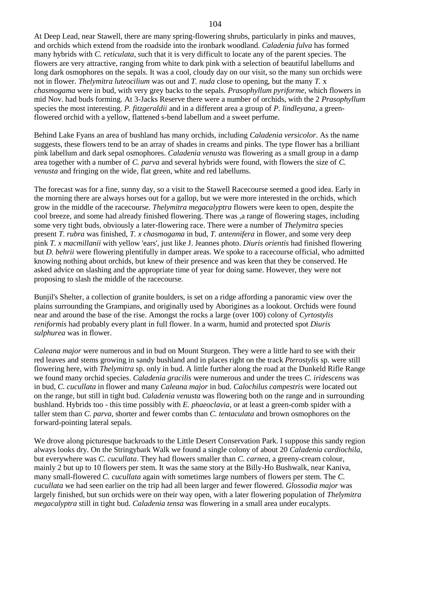At Deep Lead, near Stawell, there are many spring-flowering shrubs, particularly in pinks and mauves, and orchids which extend from the roadside into the ironbark woodland. *Caladenia fulva* has formed many hybrids with *C. reticulata*, such that it is very difficult to locate any of the parent species. The flowers are very attractive, ranging from white to dark pink with a selection of beautiful labellums and long dark osmophores on the sepals. It was a cool, cloudy day on our visit, so the many sun orchids were not in flower. *Thelymitra luteocilium* was out and *T. nuda* close to opening, but the many *T.* x *chasmogama* were in bud, with very grey backs to the sepals. *Prasophyllum pyriforme*, which flowers in mid Nov. had buds forming. At 3-Jacks Reserve there were a number of orchids, with the 2 *Prasophyllum* species the most interesting. *P. fitzgeraldii* and in a different area a group of *P. lindleyana*, a greenflowered orchid with a yellow, flattened s-bend labellum and a sweet perfume.

Behind Lake Fyans an area of bushland has many orchids, including *Caladenia versicolor*. As the name suggests, these flowers tend to be an array of shades in creams and pinks. The type flower has a brilliant pink labellum and dark sepal osmophores. *Caladenia venusta* was flowering as a small group in a damp area together with a number of *C. parva* and several hybrids were found, with flowers the size of *C. venusta* and fringing on the wide, flat green, white and red labellums.

The forecast was for a fine, sunny day, so a visit to the Stawell Racecourse seemed a good idea. Early in the morning there are always horses out for a gallop, but we were more interested in the orchids, which grow in the middle of the racecourse. *Thelymitra megacalyptra* flowers were keen to open, despite the cool breeze, and some had already finished flowering. There was ,a range of flowering stages, including some very tight buds, obviously a later-flowering race. There were a number of *Thelymitra* species present *T. rubra* was finished, *T. x chasmogama* in bud, *T. antennifera* in flower, and some very deep pink *T. x macmillanii* with yellow 'ears', just like J. Jeannes photo. *Diuris orientis* had finished flowering but *D. behrii* were flowering plentifully in damper areas. We spoke to a racecourse official, who admitted knowing nothing about orchids, but knew of their presence and was keen that they be conserved. He asked advice on slashing and the appropriate time of year for doing same. However, they were not proposing to slash the middle of the racecourse.

Bunjil's Shelter, a collection of granite boulders, is set on a ridge affording a panoramic view over the plains surrounding the Grampians, and originally used by Aborigines as a lookout. Orchids were found near and around the base of the rise. Amongst the rocks a large (over 100) colony of *Cyrtostylis reniformis* had probably every plant in full flower. In a warm, humid and protected spot *Diuris sulphurea* was in flower.

*Caleana major* were numerous and in bud on Mount Sturgeon. They were a little hard to see with their red leaves and stems growing in sandy bushland and in places right on the track *Pterostylis* sp. were still flowering here, with *Thelymitra* sp. only in bud. A little further along the road at the Dunkeld Rifle Range we found many orchid species. *Caladenia gracilis* were numerous and under the trees *C. iridescens* was in bud, *C. cucullata* in flower and many *Caleana major* in bud. *Calochilus campestris* were located out on the range, but still in tight bud. *Caladenia venusta* was flowering both on the range and in surrounding bushland. Hybrids too - this time possibly with *E. phaeoclavia*, or at least a green-comb spider with a taller stem than *C. parva*, shorter and fewer combs than *C. tentaculata* and brown osmophores on the forward-pointing lateral sepals.

We drove along picturesque backroads to the Little Desert Conservation Park. I suppose this sandy region always looks dry. On the Stringybark Walk we found a single colony of about 20 *Caladenia cardiochila*, but everywhere was *C. cucullata*. They had flowers smaller than *C. carnea*, a greeny-cream colour, mainly 2 but up to 10 flowers per stem. It was the same story at the Billy-Ho Bushwalk, near Kaniva, many small-flowered *C. cucullata* again with sometimes large numbers of flowers per stem. The *C. cucullata* we had seen earlier on the trip had all been larger and fewer flowered. *Glossodia major* was largely finished, but sun orchids were on their way open, with a later flowering population of *Thelymitra megacalyptra* still in tight bud. *Caladenia tensa* was flowering in a small area under eucalypts.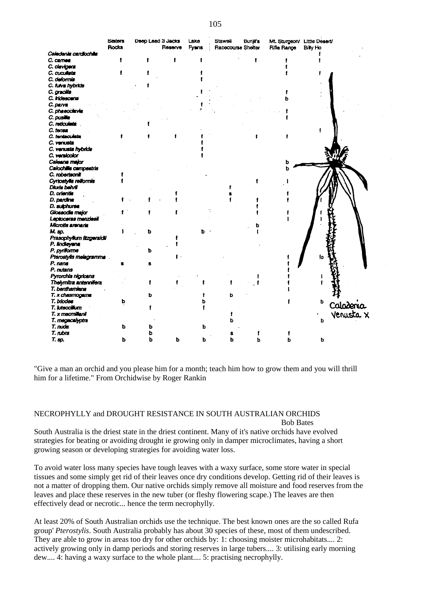|                           | <b>Sisters</b> | Deep Lead 3 Jacks |         | Lako  | <b>Stawell</b>     | <b>Bunjirs</b> | Mt. Sturgeon/ Little Desert/ |          |           |
|---------------------------|----------------|-------------------|---------|-------|--------------------|----------------|------------------------------|----------|-----------|
|                           | Rocks          |                   | Reserve | Fyans | Racecourse Shelter |                | Rifle Range                  | Billy Ho |           |
| Caledania cardiochila     |                |                   |         |       |                    |                |                              |          |           |
| C. camea                  |                |                   |         |       |                    |                |                              |          |           |
| C. clavigers              |                |                   |         |       |                    |                |                              |          |           |
| C. cucultata              |                |                   |         |       |                    |                |                              |          |           |
| C. deforme                |                |                   |         |       |                    |                |                              |          |           |
| C. fulva hybrids          |                |                   |         |       |                    |                |                              |          |           |
| C. gracilis               |                |                   |         |       |                    |                |                              |          |           |
| C. Indescens              |                |                   |         |       |                    |                |                              |          |           |
| C. parva                  |                |                   |         |       |                    |                |                              |          |           |
| C. phaeoclavia            |                |                   |         |       |                    |                |                              |          |           |
| C. pusilia                |                |                   |         |       |                    |                |                              |          |           |
| C. reticulate             |                |                   |         |       |                    |                |                              |          |           |
| C. tensa                  |                |                   |         |       |                    |                |                              |          |           |
| C. tentaculata            |                |                   |         |       |                    |                |                              |          |           |
| C. venusta                |                |                   |         |       |                    |                |                              |          |           |
| C. venusta hybrids        |                |                   |         |       |                    |                |                              |          |           |
| C. verstoolor             |                |                   |         |       |                    |                |                              |          |           |
| Caleana major             |                |                   |         |       |                    |                |                              |          |           |
| Calochille campestris     |                |                   |         |       |                    |                |                              |          |           |
| C. robertsonii            |                |                   |         |       |                    |                |                              |          |           |
| Cyrtostylis reiformis     |                |                   |         |       |                    |                |                              |          |           |
| Diuris behril             |                |                   |         |       |                    |                |                              |          |           |
| D. orientis               |                |                   |         |       |                    |                |                              |          |           |
| D. pardina                |                |                   |         |       |                    |                |                              |          |           |
| D. subhurse               |                |                   |         |       |                    |                |                              |          |           |
| Clossodia major           |                |                   |         |       |                    |                |                              |          |           |
| Leptoceras menziesii      |                |                   |         |       |                    |                |                              |          |           |
| Microtis arenaria         |                |                   |         |       |                    |                |                              |          |           |
| М. вр.                    |                |                   |         | b     |                    |                |                              |          |           |
| Prasophyllum fitzgeraktii |                |                   |         |       |                    |                |                              |          |           |
| P. lindleyana             |                |                   |         |       |                    |                |                              |          |           |
| P. pyriforme              |                | ь                 |         |       |                    |                |                              |          |           |
| Pterostylis melagramma    |                |                   |         |       |                    |                |                              | f٥       |           |
| P. nana                   |                |                   |         |       |                    |                |                              |          |           |
| P. nutans                 |                |                   |         |       |                    |                |                              |          |           |
| Pyrorchis nigricans       |                |                   |         |       |                    |                |                              |          |           |
| Thelymina antennifera     |                |                   |         |       |                    |                |                              |          |           |
| T. benthamiene            |                |                   |         |       |                    |                |                              |          |           |
| T. x chasmogama           |                |                   |         |       | ь                  |                |                              |          |           |
| T. bdodes                 | ь              |                   |         |       |                    |                |                              | b        | Caladenia |
| T. Iuteocilium            |                |                   |         |       |                    |                |                              |          |           |
| T. x macmillanii          |                |                   |         |       |                    |                |                              |          | Venusta X |
| T. megacalyptra           |                |                   |         |       |                    |                |                              | ь        |           |
| T. nuda                   | ь              |                   |         |       |                    |                |                              |          |           |
| T. nbra                   |                |                   |         |       |                    |                |                              |          |           |
| Т. эр.                    | ь              | ь                 | ь       |       |                    |                |                              | ь        |           |
|                           |                |                   |         |       |                    |                |                              |          |           |

"Give a man an orchid and you please him for a month; teach him how to grow them and you will thrill him for a lifetime." From Orchidwise by Roger Rankin

### NECROPHYLLY and DROUGHT RESISTANCE IN SOUTH AUSTRALIAN ORCHIDS Bob Bates

South Australia is the driest state in the driest continent. Many of it's native orchids have evolved strategies for beating or avoiding drought ie growing only in damper microclimates, having a short growing season or developing strategies for avoiding water loss.

To avoid water loss many species have tough leaves with a waxy surface, some store water in special tissues and some simply get rid of their leaves once dry conditions develop. Getting rid of their leaves is not a matter of dropping them. Our native orchids simply remove all moisture and food reserves from the leaves and place these reserves in the new tuber (or fleshy flowering scape.) The leaves are then effectively dead or necrotic... hence the term necrophylly.

At least 20% of South Australian orchids use the technique. The best known ones are the so called Rufa group' *Pterostylis*. South Australia probably has about 30 species of these, most of them undescribed. They are able to grow in areas too dry for other orchids by: 1: choosing moister microhabitats.... 2: actively growing only in damp periods and storing reserves in large tubers.... 3: utilising early morning dew.... 4: having a waxy surface to the whole plant.... 5: practising necrophylly.

105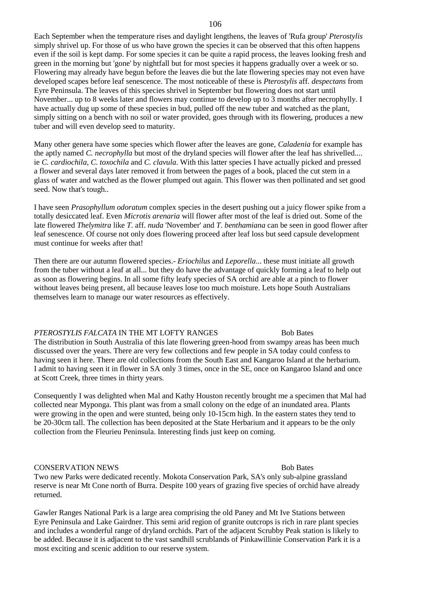### 106

Each September when the temperature rises and daylight lengthens, the leaves of 'Rufa group' *Pterostylis* simply shrivel up. For those of us who have grown the species it can be observed that this often happens even if the soil is kept damp. For some species it can be quite a rapid process, the leaves looking fresh and green in the morning but 'gone' by nightfall but for most species it happens gradually over a week or so. Flowering may already have begun before the leaves die but the late flowering species may not even have developed scapes before leaf senescence. The most noticeable of these is *Pterostylis* aff. *despectans* from Eyre Peninsula. The leaves of this species shrivel in September but flowering does not start until November... up to 8 weeks later and flowers may continue to develop up to 3 months after necrophylly. I have actually dug up some of these species in bud, pulled off the new tuber and watched as the plant, simply sitting on a bench with no soil or water provided, goes through with its flowering, produces a new tuber and will even develop seed to maturity.

Many other genera have some species which flower after the leaves are gone, *Caladenia* for example has the aptly named *C. necrophylla* but most of the dryland species will flower after the leaf has shrivelled.... ie *C. cardiochila*, *C. toxochila* and *C. clavula*. With this latter species I have actually picked and pressed a flower and several days later removed it from between the pages of a book, placed the cut stem in a glass of water and watched as the flower plumped out again. This flower was then pollinated and set good seed. Now that's tough..

I have seen *Prasophyllum odoratum* complex species in the desert pushing out a juicy flower spike from a totally desiccated leaf. Even *Microtis arenaria* will flower after most of the leaf is dried out. Some of the late flowered *Thelymitra* like *T*. aff. *nuda* 'November' and *T. benthamiana* can be seen in good flower after leaf senescence. Of course not only does flowering proceed after leaf loss but seed capsule development must continue for weeks after that!

Then there are our autumn flowered species.- *Eriochilus* and *Leporella*... these must initiate all growth from the tuber without a leaf at all... but they do have the advantage of quickly forming a leaf to help out as soon as flowering begins. In all some fifty leafy species of SA orchid are able at a pinch to flower without leaves being present, all because leaves lose too much moisture. Lets hope South Australians themselves learn to manage our water resources as effectively.

### *PTEROSTYLIS FALCATA* IN THE MT LOFTY RANGES Bob Bates

The distribution in South Australia of this late flowering green-hood from swampy areas has been much discussed over the years. There are very few collections and few people in SA today could confess to having seen it here. There are old collections from the South East and Kangaroo Island at the herbarium. I admit to having seen it in flower in SA only 3 times, once in the SE, once on Kangaroo Island and once at Scott Creek, three times in thirty years.

Consequently I was delighted when Mal and Kathy Houston recently brought me a specimen that Mal had collected near Myponga. This plant was from a small colony on the edge of an inundated area. Plants were growing in the open and were stunted, being only 10-15cm high. In the eastern states they tend to be 20-30cm tall. The collection has been deposited at the State Herbarium and it appears to be the only collection from the Fleurieu Peninsula. Interesting finds just keep on coming.

### **CONSERVATION NEWS** Bob Bates

Two new Parks were dedicated recently. Mokota Conservation Park, SA's only sub-alpine grassland reserve is near Mt Cone north of Burra. Despite 100 years of grazing five species of orchid have already returned.

Gawler Ranges National Park is a large area comprising the old Paney and Mt Ive Stations between Eyre Peninsula and Lake Gairdner. This semi arid region of granite outcrops is rich in rare plant species and includes a wonderful range of dryland orchids. Part of the adjacent Scrubby Peak station is likely to be added. Because it is adjacent to the vast sandhill scrublands of Pinkawillinie Conservation Park it is a most exciting and scenic addition to our reserve system.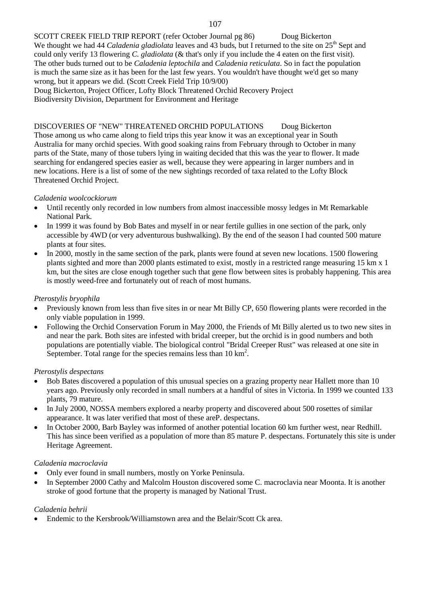SCOTT CREEK FIELD TRIP REPORT (refer October Journal pg 86) Doug Bickerton We thought we had 44 *Caladenia gladiolata* leaves and 43 buds, but I returned to the site on 25<sup>th</sup> Sept and could only verify 13 flowering *C. gladiolata* (& that's only if you include the 4 eaten on the first visit). The other buds turned out to be *Caladenia leptochila* and *Caladenia reticulata*. So in fact the population is much the same size as it has been for the last few years. You wouldn't have thought we'd get so many wrong, but it appears we did. (Scott Creek Field Trip 10/9/00) Doug Bickerton, Project Officer, Lofty Block Threatened Orchid Recovery Project Biodiversity Division, Department for Environment and Heritage

DISCOVERIES OF "NEW" THREATENED ORCHID POPULATIONS Doug Bickerton Those among us who came along to field trips this year know it was an exceptional year in South Australia for many orchid species. With good soaking rains from February through to October in many parts of the State, many of those tubers lying in waiting decided that this was the year to flower. It made searching for endangered species easier as well, because they were appearing in larger numbers and in new locations. Here is a list of some of the new sightings recorded of taxa related to the Lofty Block Threatened Orchid Project.

# *Caladenia woolcockiorum*

- Until recently only recorded in low numbers from almost inaccessible mossy ledges in Mt Remarkable National Park.
- In 1999 it was found by Bob Bates and myself in or near fertile gullies in one section of the park, only accessible by 4WD (or very adventurous bushwalking). By the end of the season I had counted 500 mature plants at four sites.
- In 2000, mostly in the same section of the park, plants were found at seven new locations. 1500 flowering plants sighted and more than 2000 plants estimated to exist, mostly in a restricted range measuring 15 km x 1 km, but the sites are close enough together such that gene flow between sites is probably happening. This area is mostly weed-free and fortunately out of reach of most humans.

# *Pterostylis bryophila*

- Previously known from less than five sites in or near Mt Billy CP, 650 flowering plants were recorded in the only viable population in 1999.
- Following the Orchid Conservation Forum in May 2000, the Friends of Mt Billy alerted us to two new sites in and near the park. Both sites are infested with bridal creeper, but the orchid is in good numbers and both populations are potentially viable. The biological control "Bridal Creeper Rust" was released at one site in September. Total range for the species remains less than  $10 \text{ km}^2$ .

## *Pterostylis despectans*

- Bob Bates discovered a population of this unusual species on a grazing property near Hallett more than 10 years ago. Previously only recorded in small numbers at a handful of sites in Victoria. In 1999 we counted 133 plants, 79 mature.
- In July 2000, NOSSA members explored a nearby property and discovered about 500 rosettes of similar appearance. It was later verified that most of these areP. despectans.
- In October 2000, Barb Bayley was informed of another potential location 60 km further west, near Redhill. This has since been verified as a population of more than 85 mature P. despectans. Fortunately this site is under Heritage Agreement.

## *Caladenia macroclavia*

- Only ever found in small numbers, mostly on Yorke Peninsula.
- In September 2000 Cathy and Malcolm Houston discovered some C. macroclavia near Moonta. It is another stroke of good fortune that the property is managed by National Trust.

## *Caladenia behrii*

Endemic to the Kersbrook/Williamstown area and the Belair/Scott Ck area.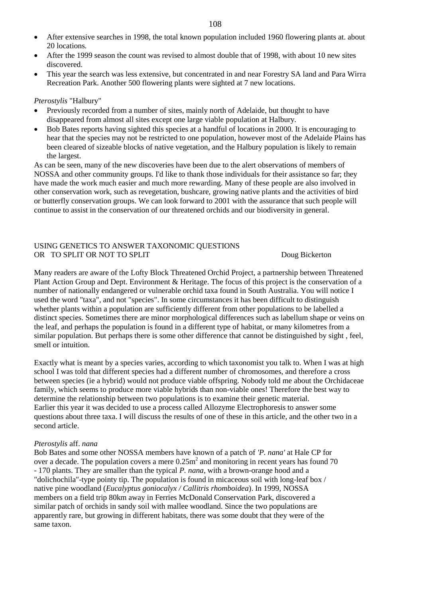- After extensive searches in 1998, the total known population included 1960 flowering plants at. about 20 locations.
- After the 1999 season the count was revised to almost double that of 1998, with about 10 new sites discovered.
- This year the search was less extensive, but concentrated in and near Forestry SA land and Para Wirra Recreation Park. Another 500 flowering plants were sighted at 7 new locations.

# *Pterostylis* "Halbury"

- Previously recorded from a number of sites, mainly north of Adelaide, but thought to have disappeared from almost all sites except one large viable population at Halbury.
- Bob Bates reports having sighted this species at a handful of locations in 2000. It is encouraging to hear that the species may not be restricted to one population, however most of the Adelaide Plains has been cleared of sizeable blocks of native vegetation, and the Halbury population is likely to remain the largest.

As can be seen, many of the new discoveries have been due to the alert observations of members of NOSSA and other community groups. I'd like to thank those individuals for their assistance so far; they have made the work much easier and much more rewarding. Many of these people are also involved in other conservation work, such as revegetation, bushcare, growing native plants and the activities of bird or butterfly conservation groups. We can look forward to 2001 with the assurance that such people will continue to assist in the conservation of our threatened orchids and our biodiversity in general.

# USING GENETICS TO ANSWER TAXONOMIC QUESTIONS OR TO SPLIT OR NOT TO SPLIT

Many readers are aware of the Lofty Block Threatened Orchid Project, a partnership between Threatened Plant Action Group and Dept. Environment & Heritage. The focus of this project is the conservation of a number of nationally endangered or vulnerable orchid taxa found in South Australia. You will notice I used the word "taxa", and not "species". In some circumstances it has been difficult to distinguish whether plants within a population are sufficiently different from other populations to be labelled a distinct species. Sometimes there are minor morphological differences such as labellum shape or veins on the leaf, and perhaps the population is found in a different type of habitat, or many kilometres from a similar population. But perhaps there is some other difference that cannot be distinguished by sight , feel, smell or intuition.

Exactly what is meant by a species varies, according to which taxonomist you talk to. When I was at high school I was told that different species had a different number of chromosomes, and therefore a cross between species (ie a hybrid) would not produce viable offspring. Nobody told me about the Orchidaceae family, which seems to produce more viable hybrids than non-viable ones! Therefore the best way to determine the relationship between two populations is to examine their genetic material. Earlier this year it was decided to use a process called Allozyme Electrophoresis to answer some questions about three taxa. I will discuss the results of one of these in this article, and the other two in a second article.

## *Pterostylis* aff. *nana*

Bob Bates and some other NOSSA members have known of a patch of *'P. nana'* at Hale CP for over a decade. The population covers a mere  $0.25m<sup>2</sup>$  and monitoring in recent years has found 70 - 170 plants. They are smaller than the typical *P. nana*, with a brown-orange hood and a "dolichochila"-type pointy tip. The population is found in micaceous soil with long-leaf box / native pine woodland (*Eucalyptus goniocalyx / Callitris rhomboidea*). In 1999, NOSSA members on a field trip 80km away in Ferries McDonald Conservation Park, discovered a similar patch of orchids in sandy soil with mallee woodland. Since the two populations are apparently rare, but growing in different habitats, there was some doubt that they were of the same taxon.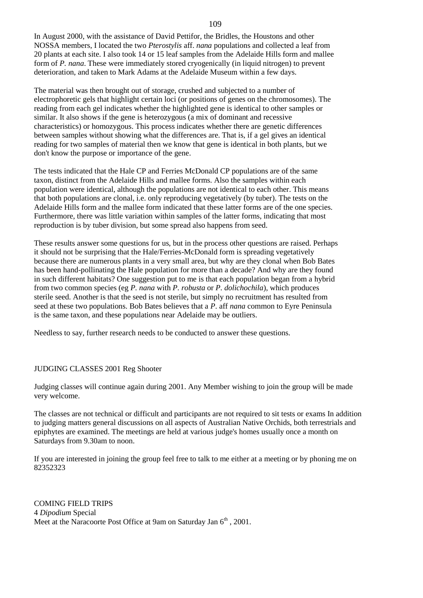In August 2000, with the assistance of David Pettifor, the Bridles, the Houstons and other NOSSA members, I located the two *Pterostylis* aff. *nana* populations and collected a leaf from 20 plants at each site. I also took 14 or 15 leaf samples from the Adelaide Hills form and mallee form of *P. nana*. These were immediately stored cryogenically (in liquid nitrogen) to prevent deterioration, and taken to Mark Adams at the Adelaide Museum within a few days.

The material was then brought out of storage, crushed and subjected to a number of electrophoretic gels that highlight certain loci (or positions of genes on the chromosomes). The reading from each gel indicates whether the highlighted gene is identical to other samples or similar. It also shows if the gene is heterozygous (a mix of dominant and recessive characteristics) or homozygous. This process indicates whether there are genetic differences between samples without showing what the differences are. That is, if a gel gives an identical reading for two samples of material then we know that gene is identical in both plants, but we don't know the purpose or importance of the gene.

The tests indicated that the Hale CP and Ferries McDonald CP populations are of the same taxon, distinct from the Adelaide Hills and mallee forms. Also the samples within each population were identical, although the populations are not identical to each other. This means that both populations are clonal, i.e. only reproducing vegetatively (by tuber). The tests on the Adelaide Hills form and the mallee form indicated that these latter forms are of the one species. Furthermore, there was little variation within samples of the latter forms, indicating that most reproduction is by tuber division, but some spread also happens from seed.

These results answer some questions for us, but in the process other questions are raised. Perhaps it should not be surprising that the Hale/Ferries-McDonald form is spreading vegetatively because there are numerous plants in a very small area, but why are they clonal when Bob Bates has been hand-pollinating the Hale population for more than a decade? And why are they found in such different habitats? One suggestion put to me is that each population began from a hybrid from two common species (eg *P. nana* with *P. robusta* or *P. dolichochila*), which produces sterile seed. Another is that the seed is not sterile, but simply no recruitment has resulted from seed at these two populations. Bob Bates believes that a *P*. aff *nana* common to Eyre Peninsula is the same taxon, and these populations near Adelaide may be outliers.

Needless to say, further research needs to be conducted to answer these questions.

## JUDGING CLASSES 2001 Reg Shooter

Judging classes will continue again during 2001. Any Member wishing to join the group will be made very welcome.

The classes are not technical or difficult and participants are not required to sit tests or exams In addition to judging matters general discussions on all aspects of Australian Native Orchids, both terrestrials and epiphytes are examined. The meetings are held at various judge's homes usually once a month on Saturdays from 9.30am to noon.

If you are interested in joining the group feel free to talk to me either at a meeting or by phoning me on 82352323

COMING FIELD TRIPS 4 *Dipodium* Special Meet at the Naracoorte Post Office at 9am on Saturday Jan  $6<sup>th</sup>$ , 2001.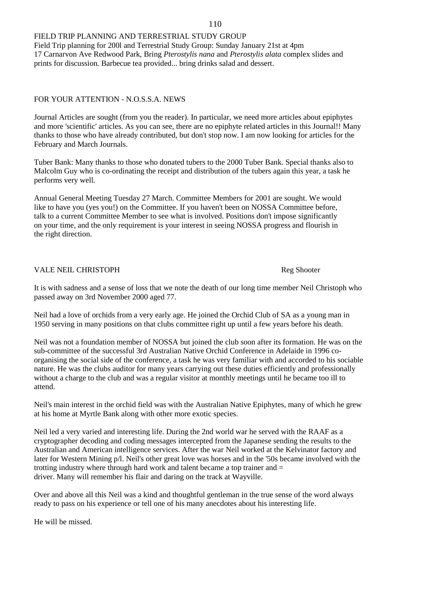## FIELD TRIP PLANNING AND TERRESTRIAL STUDY GROUP

Field Trip planning for 200l and Terrestrial Study Group: Sunday January 21st at 4pm 17 Carnarvon Ave Redwood Park, Bring *Pterostylis nana* and *Pterostylis alata* complex slides and prints for discussion. Barbecue tea provided... bring drinks salad and dessert.

# FOR YOUR ATTENTION - N.O.S.S.A. NEWS

Journal Articles are sought (from you the reader). In particular, we need more articles about epiphytes and more 'scientific' articles. As you can see, there are no epiphyte related articles in this Journal!! Many thanks to those who have already contributed, but don't stop now. I am now looking for articles for the February and March Journals.

Tuber Bank: Many thanks to those who donated tubers to the 2000 Tuber Bank. Special thanks also to Malcolm Guy who is co-ordinating the receipt and distribution of the tubers again this year, a task he performs very well.

Annual General Meeting Tuesday 27 March. Committee Members for 2001 are sought. We would like to have you (yes you!) on the Committee. If you haven't been on NOSSA Committee before, talk to a current Committee Member to see what is involved. Positions don't impose significantly on your time, and the only requirement is your interest in seeing NOSSA progress and flourish in the right direction.

# VALE NEIL CHRISTOPH Reg Shooter

It is with sadness and a sense of loss that we note the death of our long time member Neil Christoph who passed away on 3rd November 2000 aged 77.

Neil had a love of orchids from a very early age. He joined the Orchid Club of SA as a young man in 1950 serving in many positions on that clubs committee right up until a few years before his death.

Neil was not a foundation member of NOSSA but joined the club soon after its formation. He was on the sub-committee of the successful 3rd Australian Native Orchid Conference in Adelaide in 1996 coorganising the social side of the conference, a task he was very familiar with and accorded to his sociable nature. He was the clubs auditor for many years carrying out these duties efficiently and professionally without a charge to the club and was a regular visitor at monthly meetings until he became too ill to attend.

Neil's main interest in the orchid field was with the Australian Native Epiphytes, many of which he grew at his home at Myrtle Bank along with other more exotic species.

Neil led a very varied and interesting life. During the 2nd world war he served with the RAAF as a cryptographer decoding and coding messages intercepted from the Japanese sending the results to the Australian and American intelligence services. After the war Neil worked at the Kelvinator factory and later for Western Mining p/l. Neil's other great love was horses and in the '50s became involved with the trotting industry where through hard work and talent became a top trainer and = driver. Many will remember his flair and daring on the track at Wayville.

Over and above all this Neil was a kind and thoughtful gentleman in the true sense of the word always ready to pass on his experience or tell one of his many anecdotes about his interesting life.

He will be missed.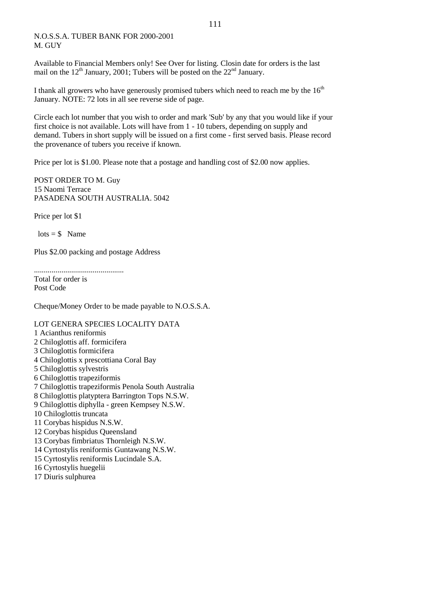# N.O.S.S.A. TUBER BANK FOR 2000-2001 M. GUY

Available to Financial Members only! See Over for listing. Closin date for orders is the last mail on the  $12<sup>th</sup>$  January, 2001; Tubers will be posted on the  $22<sup>nd</sup>$  January.

I thank all growers who have generously promised tubers which need to reach me by the  $16<sup>th</sup>$ January. NOTE: 72 lots in all see reverse side of page.

Circle each lot number that you wish to order and mark 'Sub' by any that you would like if your first choice is not available. Lots will have from 1 - 10 tubers, depending on supply and demand. Tubers in short supply will be issued on a first come - first served basis. Please record the provenance of tubers you receive if known.

Price per lot is \$1.00. Please note that a postage and handling cost of \$2.00 now applies.

POST ORDER TO M. Guy 15 Naomi Terrace PASADENA SOUTH AUSTRALIA. 5042

Price per lot \$1

 $\text{lots} = $$  Name

Plus \$2.00 packing and postage Address

..............................................

Total for order is Post Code

Cheque/Money Order to be made payable to N.O.S.S.A.

## LOT GENERA SPECIES LOCALITY DATA

1 Acianthus reniformis 2 Chiloglottis aff. formicifera 3 Chiloglottis formicifera 4 Chiloglottis x prescottiana Coral Bay 5 Chiloglottis sylvestris 6 Chiloglottis trapeziformis 7 Chiloglottis trapeziformis Penola South Australia 8 Chiloglottis platyptera Barrington Tops N.S.W. 9 Chiloglottis diphylla - green Kempsey N.S.W. 10 Chiloglottis truncata 11 Corybas hispidus N.S.W. 12 Corybas hispidus Queensland 13 Corybas fimbriatus Thornleigh N.S.W. 14 Cyrtostylis reniformis Guntawang N.S.W. 15 Cyrtostylis reniformis Lucindale S.A. 16 Cyrtostylis huegelii 17 Diuris sulphurea